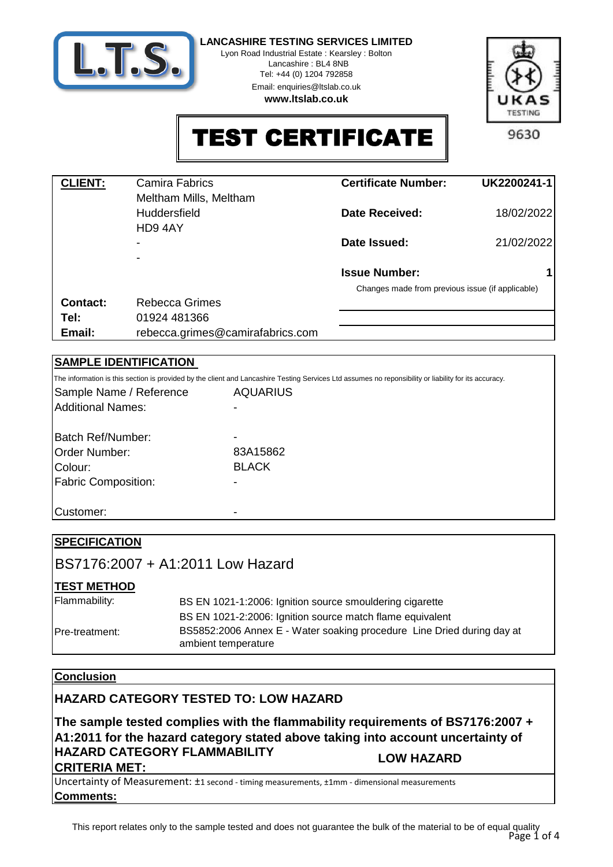

Lyon Road Industrial Estate : Kearsley : Bolton Lancashire : BL4 8NB

> Tel: +44 (0) 1204 792858 Email: enquiries@ltslab.co.uk

**www.ltslab.co.uk**



TEST CERTIFICATE

| <b>CLIENT:</b> | <b>Camira Fabrics</b>            | <b>Certificate Number:</b>                       | UK2200241-1 |
|----------------|----------------------------------|--------------------------------------------------|-------------|
|                | Meltham Mills, Meltham           |                                                  |             |
|                |                                  |                                                  |             |
|                | <b>Huddersfield</b>              | Date Received:                                   | 18/02/2022  |
|                | HD94AY                           |                                                  |             |
|                |                                  | Date Issued:                                     | 21/02/2022  |
|                | ۰                                |                                                  |             |
|                | ۰                                |                                                  |             |
|                |                                  | <b>Issue Number:</b>                             |             |
|                |                                  | Changes made from previous issue (if applicable) |             |
| Contact:       | Rebecca Grimes                   |                                                  |             |
| Tel:           | 01924 481366                     |                                                  |             |
|                |                                  |                                                  |             |
| Email:         | rebecca.grimes@camirafabrics.com |                                                  |             |

### **SAMPLE IDENTIFICATION**

| The information is this section is provided by the client and Lancashire Testing Services Ltd assumes no reponsibility or liability for its accuracy. |
|-------------------------------------------------------------------------------------------------------------------------------------------------------|
| <b>AQUARIUS</b>                                                                                                                                       |
|                                                                                                                                                       |
|                                                                                                                                                       |
|                                                                                                                                                       |
| 83A15862                                                                                                                                              |
| <b>BLACK</b>                                                                                                                                          |
|                                                                                                                                                       |
|                                                                                                                                                       |
|                                                                                                                                                       |
|                                                                                                                                                       |

| <b>SPECIFICATION</b>   |                                                                                               |
|------------------------|-----------------------------------------------------------------------------------------------|
|                        | BS7176:2007 + A1:2011 Low Hazard                                                              |
| <b>TEST METHOD</b>     |                                                                                               |
| Flammability:          | BS EN 1021-1:2006: Ignition source smouldering cigarette                                      |
|                        | BS EN 1021-2:2006: Ignition source match flame equivalent                                     |
| <b>IPre-treatment:</b> | BS5852:2006 Annex E - Water soaking procedure Line Dried during day at<br>ambient temperature |

## **Conclusion**

## **HAZARD CATEGORY TESTED TO: LOW HAZARD**

**The sample tested complies with the flammability requirements of BS7176:2007 + A1:2011 for the hazard category stated above taking into account uncertainty of HAZARD CATEGORY FLAMMABILITY CRITERIA MET: LOW HAZARD**

**Comments:** Uncertainty of Measurement: ±1 second - timing measurements, ±1mm - dimensional measurements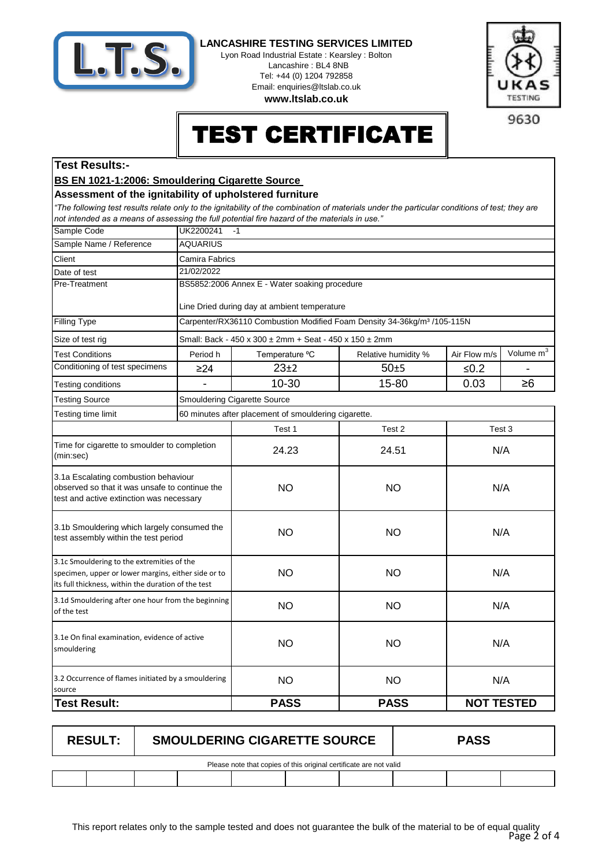

Lyon Road Industrial Estate : Kearsley : Bolton Lancashire : BL4 8NB Tel: +44 (0) 1204 792858 Email: enquiries@ltslab.co.uk

**www.ltslab.co.uk**



9630

# TEST CERTIFICATE

### **Test Results:-**

### **BS EN 1021-1:2006: Smouldering Cigarette Source**

#### **Assessment of the ignitability of upholstered furniture**

*"The following test results relate only to the ignitability of the combination of materials under the particular conditions of test; they are not intended as a means of assessing the full potential fire hazard of the materials in use."*

| Sample Code                                                                                                                                              | UK2200241<br>$-1$ |                                                                                     |                     |                   |                       |  |  |
|----------------------------------------------------------------------------------------------------------------------------------------------------------|-------------------|-------------------------------------------------------------------------------------|---------------------|-------------------|-----------------------|--|--|
| Sample Name / Reference                                                                                                                                  | <b>AQUARIUS</b>   |                                                                                     |                     |                   |                       |  |  |
| Client                                                                                                                                                   | Camira Fabrics    |                                                                                     |                     |                   |                       |  |  |
| Date of test                                                                                                                                             | 21/02/2022        |                                                                                     |                     |                   |                       |  |  |
| Pre-Treatment                                                                                                                                            |                   | BS5852:2006 Annex E - Water soaking procedure                                       |                     |                   |                       |  |  |
|                                                                                                                                                          |                   | Line Dried during day at ambient temperature                                        |                     |                   |                       |  |  |
| <b>Filling Type</b>                                                                                                                                      |                   | Carpenter/RX36110 Combustion Modified Foam Density 34-36kg/m <sup>3</sup> /105-115N |                     |                   |                       |  |  |
| Size of test rig                                                                                                                                         |                   | Small: Back - 450 x 300 ± 2mm + Seat - 450 x 150 ± 2mm                              |                     |                   |                       |  |  |
| <b>Test Conditions</b>                                                                                                                                   | Period h          | Temperature °C                                                                      | Relative humidity % | Air Flow m/s      | Volume m <sup>3</sup> |  |  |
| Conditioning of test specimens                                                                                                                           | $\geq$ 24         | $23+2$                                                                              | $50 + 5$            | $≤0.2$            |                       |  |  |
| Testing conditions                                                                                                                                       |                   | 10-30                                                                               | 15-80               | 0.03              | $\geq 6$              |  |  |
| <b>Testing Source</b>                                                                                                                                    |                   | Smouldering Cigarette Source                                                        |                     |                   |                       |  |  |
| Testing time limit                                                                                                                                       |                   | 60 minutes after placement of smouldering cigarette.                                |                     |                   |                       |  |  |
|                                                                                                                                                          |                   | Test 1                                                                              | Test 2              |                   | Test 3                |  |  |
| Time for cigarette to smoulder to completion<br>(min:sec)                                                                                                |                   | 24.23                                                                               | 24.51               | N/A               |                       |  |  |
| 3.1a Escalating combustion behaviour<br>observed so that it was unsafe to continue the<br>test and active extinction was necessary                       |                   | <b>NO</b>                                                                           | <b>NO</b>           | N/A               |                       |  |  |
| 3.1b Smouldering which largely consumed the<br>test assembly within the test period                                                                      |                   | <b>NO</b>                                                                           | <b>NO</b>           | N/A               |                       |  |  |
| 3.1c Smouldering to the extremities of the<br>specimen, upper or lower margins, either side or to<br>its full thickness, within the duration of the test |                   | <b>NO</b>                                                                           | <b>NO</b>           | N/A               |                       |  |  |
| 3.1d Smouldering after one hour from the beginning<br>of the test                                                                                        |                   | <b>NO</b>                                                                           | <b>NO</b>           | N/A               |                       |  |  |
| 3.1e On final examination, evidence of active<br>smouldering                                                                                             |                   | <b>NO</b>                                                                           | <b>NO</b>           | N/A               |                       |  |  |
| 3.2 Occurrence of flames initiated by a smouldering<br>source                                                                                            |                   | <b>NO</b>                                                                           | <b>NO</b>           | N/A               |                       |  |  |
| <b>Test Result:</b>                                                                                                                                      |                   | <b>PASS</b>                                                                         | <b>PASS</b>         | <b>NOT TESTED</b> |                       |  |  |
|                                                                                                                                                          |                   |                                                                                     |                     |                   |                       |  |  |

| <b>RESULT:</b>                                                     | <b>SMOULDERING CIGARETTE SOURCE</b> |  |  | <b>PASS</b> |  |  |  |
|--------------------------------------------------------------------|-------------------------------------|--|--|-------------|--|--|--|
| Please note that copies of this original certificate are not valid |                                     |  |  |             |  |  |  |
|                                                                    |                                     |  |  |             |  |  |  |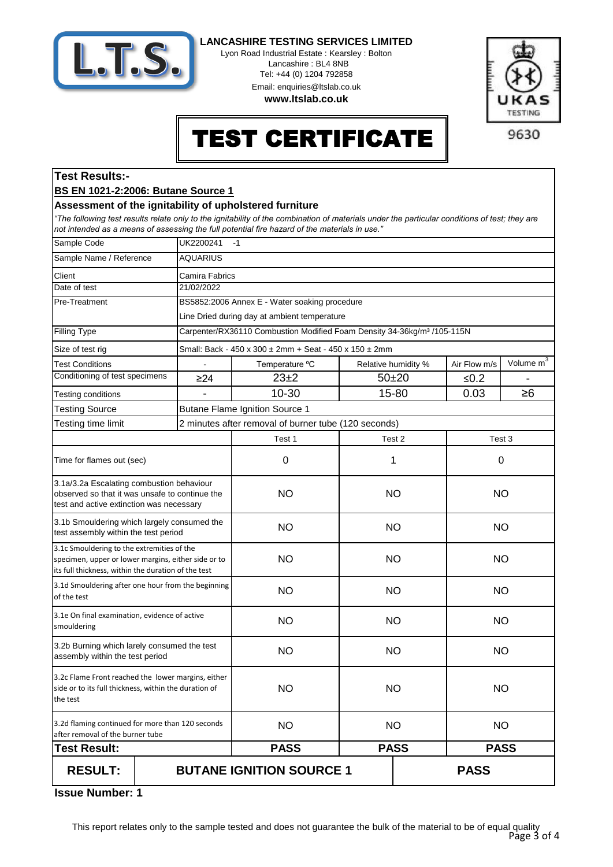

Lyon Road Industrial Estate : Kearsley : Bolton Lancashire : BL4 8NB Tel: +44 (0) 1204 792858 Email: enquiries@ltslab.co.uk

**www.ltslab.co.uk**



# TEST CERTIFICATE

## **Test Results:-**

#### **BS EN 1021-2:2006: Butane Source 1**

#### **Assessment of the ignitability of upholstered furniture**

*"The following test results relate only to the ignitability of the combination of materials under the particular conditions of test; they are not intended as a means of assessing the full potential fire hazard of the materials in use."*

| Sample Code                                                                                                                                              | UK2200241<br>$-1$ |                                                                                     |                     |  |              |                       |
|----------------------------------------------------------------------------------------------------------------------------------------------------------|-------------------|-------------------------------------------------------------------------------------|---------------------|--|--------------|-----------------------|
| Sample Name / Reference                                                                                                                                  | <b>AQUARIUS</b>   |                                                                                     |                     |  |              |                       |
| Client                                                                                                                                                   | Camira Fabrics    |                                                                                     |                     |  |              |                       |
| Date of test                                                                                                                                             | 21/02/2022        |                                                                                     |                     |  |              |                       |
| Pre-Treatment                                                                                                                                            |                   | BS5852:2006 Annex E - Water soaking procedure                                       |                     |  |              |                       |
|                                                                                                                                                          |                   | Line Dried during day at ambient temperature                                        |                     |  |              |                       |
| <b>Filling Type</b>                                                                                                                                      |                   | Carpenter/RX36110 Combustion Modified Foam Density 34-36kg/m <sup>3</sup> /105-115N |                     |  |              |                       |
| Size of test rig                                                                                                                                         |                   | Small: Back - 450 x 300 ± 2mm + Seat - 450 x 150 ± 2mm                              |                     |  |              |                       |
| <b>Test Conditions</b>                                                                                                                                   | $\sim$            | Temperature °C                                                                      | Relative humidity % |  | Air Flow m/s | Volume m <sup>3</sup> |
| Conditioning of test specimens                                                                                                                           | $\geq$ 24         | $23\pm2$                                                                            | $50 + 20$           |  | ≤ $0.2$      |                       |
| Testing conditions                                                                                                                                       |                   | 10-30                                                                               | 15-80               |  | 0.03         | $\geq 6$              |
| <b>Testing Source</b>                                                                                                                                    |                   | <b>Butane Flame Ignition Source 1</b>                                               |                     |  |              |                       |
| Testing time limit                                                                                                                                       |                   | 2 minutes after removal of burner tube (120 seconds)                                |                     |  |              |                       |
|                                                                                                                                                          |                   | Test 1                                                                              | Test 2              |  | Test 3       |                       |
| Time for flames out (sec)                                                                                                                                |                   | 0                                                                                   | 1                   |  | 0            |                       |
| 3.1a/3.2a Escalating combustion behaviour<br>observed so that it was unsafe to continue the<br>test and active extinction was necessary                  |                   | <b>NO</b>                                                                           | <b>NO</b>           |  | <b>NO</b>    |                       |
| 3.1b Smouldering which largely consumed the<br>test assembly within the test period                                                                      |                   | <b>NO</b>                                                                           | <b>NO</b>           |  | <b>NO</b>    |                       |
| 3.1c Smouldering to the extremities of the<br>specimen, upper or lower margins, either side or to<br>its full thickness, within the duration of the test |                   | <b>NO</b>                                                                           | <b>NO</b>           |  | <b>NO</b>    |                       |
| 3.1d Smouldering after one hour from the beginning<br>of the test                                                                                        |                   | <b>NO</b>                                                                           | <b>NO</b>           |  | <b>NO</b>    |                       |
| 3.1e On final examination, evidence of active<br>smouldering                                                                                             |                   | <b>NO</b>                                                                           | <b>NO</b>           |  | <b>NO</b>    |                       |
| 3.2b Burning which larely consumed the test<br>assembly within the test period                                                                           |                   | <b>NO</b>                                                                           | <b>NO</b>           |  | <b>NO</b>    |                       |
| 3.2c Flame Front reached the lower margins, either<br>side or to its full thickness, within the duration of<br>the test                                  |                   | <b>NO</b>                                                                           | <b>NO</b>           |  | <b>NO</b>    |                       |
| 3.2d flaming continued for more than 120 seconds<br>after removal of the burner tube                                                                     |                   | <b>NO</b>                                                                           | <b>NO</b>           |  | <b>NO</b>    |                       |
| <b>Test Result:</b>                                                                                                                                      |                   | <b>PASS</b>                                                                         | <b>PASS</b>         |  | <b>PASS</b>  |                       |
| <b>RESULT:</b>                                                                                                                                           |                   | <b>BUTANE IGNITION SOURCE 1</b>                                                     |                     |  | <b>PASS</b>  |                       |

**1 Issue Number:**